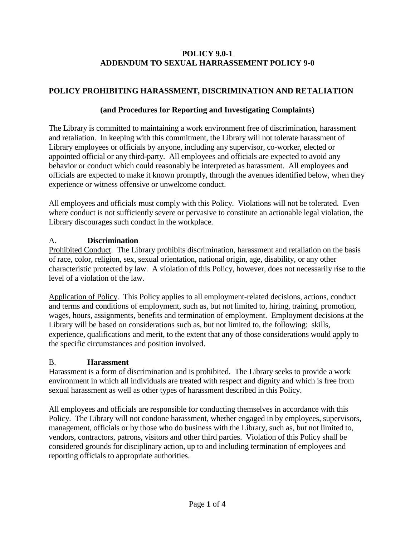#### **POLICY 9.0-1 ADDENDUM TO SEXUAL HARRASSEMENT POLICY 9-0**

# **POLICY PROHIBITING HARASSMENT, DISCRIMINATION AND RETALIATION**

#### **(and Procedures for Reporting and Investigating Complaints)**

The Library is committed to maintaining a work environment free of discrimination, harassment and retaliation. In keeping with this commitment, the Library will not tolerate harassment of Library employees or officials by anyone, including any supervisor, co-worker, elected or appointed official or any third-party. All employees and officials are expected to avoid any behavior or conduct which could reasonably be interpreted as harassment. All employees and officials are expected to make it known promptly, through the avenues identified below, when they experience or witness offensive or unwelcome conduct.

All employees and officials must comply with this Policy. Violations will not be tolerated. Even where conduct is not sufficiently severe or pervasive to constitute an actionable legal violation, the Library discourages such conduct in the workplace.

## A. **Discrimination**

Prohibited Conduct. The Library prohibits discrimination, harassment and retaliation on the basis of race, color, religion, sex, sexual orientation, national origin, age, disability, or any other characteristic protected by law. A violation of this Policy, however, does not necessarily rise to the level of a violation of the law.

Application of Policy. This Policy applies to all employment-related decisions, actions, conduct and terms and conditions of employment, such as, but not limited to, hiring, training, promotion, wages, hours, assignments, benefits and termination of employment. Employment decisions at the Library will be based on considerations such as, but not limited to, the following: skills, experience, qualifications and merit, to the extent that any of those considerations would apply to the specific circumstances and position involved.

## B. **Harassment**

Harassment is a form of discrimination and is prohibited. The Library seeks to provide a work environment in which all individuals are treated with respect and dignity and which is free from sexual harassment as well as other types of harassment described in this Policy.

All employees and officials are responsible for conducting themselves in accordance with this Policy. The Library will not condone harassment, whether engaged in by employees, supervisors, management, officials or by those who do business with the Library, such as, but not limited to, vendors, contractors, patrons, visitors and other third parties. Violation of this Policy shall be considered grounds for disciplinary action, up to and including termination of employees and reporting officials to appropriate authorities.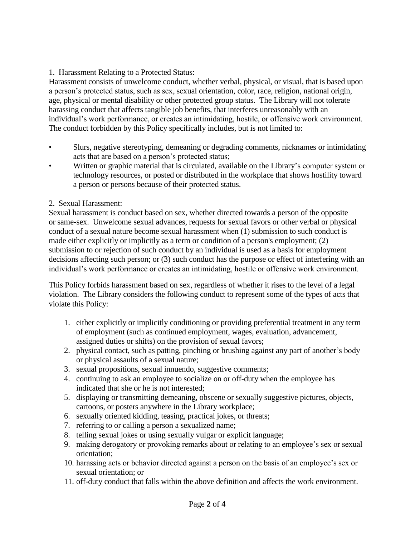## 1. Harassment Relating to a Protected Status:

Harassment consists of unwelcome conduct, whether verbal, physical, or visual, that is based upon a person's protected status, such as sex, sexual orientation, color, race, religion, national origin, age, physical or mental disability or other protected group status. The Library will not tolerate harassing conduct that affects tangible job benefits, that interferes unreasonably with an individual's work performance, or creates an intimidating, hostile, or offensive work environment. The conduct forbidden by this Policy specifically includes, but is not limited to:

- Slurs, negative stereotyping, demeaning or degrading comments, nicknames or intimidating acts that are based on a person's protected status;
- Written or graphic material that is circulated, available on the Library's computer system or technology resources, or posted or distributed in the workplace that shows hostility toward a person or persons because of their protected status.

#### 2. Sexual Harassment:

Sexual harassment is conduct based on sex, whether directed towards a person of the opposite or same-sex. Unwelcome sexual advances, requests for sexual favors or other verbal or physical conduct of a sexual nature become sexual harassment when (1) submission to such conduct is made either explicitly or implicitly as a term or condition of a person's employment; (2) submission to or rejection of such conduct by an individual is used as a basis for employment decisions affecting such person; or (3) such conduct has the purpose or effect of interfering with an individual's work performance or creates an intimidating, hostile or offensive work environment.

This Policy forbids harassment based on sex, regardless of whether it rises to the level of a legal violation. The Library considers the following conduct to represent some of the types of acts that violate this Policy:

- 1. either explicitly or implicitly conditioning or providing preferential treatment in any term of employment (such as continued employment, wages, evaluation, advancement, assigned duties or shifts) on the provision of sexual favors;
- 2. physical contact, such as patting, pinching or brushing against any part of another's body or physical assaults of a sexual nature;
- 3. sexual propositions, sexual innuendo, suggestive comments;
- 4. continuing to ask an employee to socialize on or off-duty when the employee has indicated that she or he is not interested;
- 5. displaying or transmitting demeaning, obscene or sexually suggestive pictures, objects, cartoons, or posters anywhere in the Library workplace;
- 6. sexually oriented kidding, teasing, practical jokes, or threats;
- 7. referring to or calling a person a sexualized name;
- 8. telling sexual jokes or using sexually vulgar or explicit language;
- 9. making derogatory or provoking remarks about or relating to an employee's sex or sexual orientation;
- 10. harassing acts or behavior directed against a person on the basis of an employee's sex or sexual orientation; or
- 11. off-duty conduct that falls within the above definition and affects the work environment.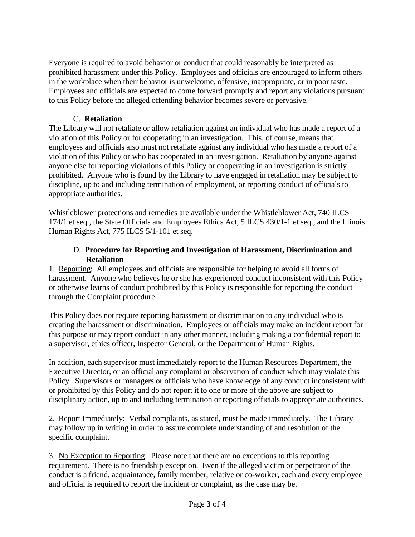Everyone is required to avoid behavior or conduct that could reasonably be interpreted as prohibited harassment under this Policy. Employees and officials are encouraged to inform others in the workplace when their behavior is unwelcome, offensive, inappropriate, or in poor taste. Employees and officials are expected to come forward promptly and report any violations pursuant to this Policy before the alleged offending behavior becomes severe or pervasive.

### C. **Retaliation**

The Library will not retaliate or allow retaliation against an individual who has made a report of a violation of this Policy or for cooperating in an investigation. This, of course, means that employees and officials also must not retaliate against any individual who has made a report of a violation of this Policy or who has cooperated in an investigation. Retaliation by anyone against anyone else for reporting violations of this Policy or cooperating in an investigation is strictly prohibited. Anyone who is found by the Library to have engaged in retaliation may be subject to discipline, up to and including termination of employment, or reporting conduct of officials to appropriate authorities.

Whistleblower protections and remedies are available under the Whistleblower Act, 740 ILCS 174/1 et seq., the State Officials and Employees Ethics Act, 5 ILCS 430/1-1 et seq., and the Illinois Human Rights Act, 775 ILCS 5/1-101 et seq.

#### D. **Procedure for Reporting and Investigation of Harassment, Discrimination and Retaliation**

1. Reporting: All employees and officials are responsible for helping to avoid all forms of harassment. Anyone who believes he or she has experienced conduct inconsistent with this Policy or otherwise learns of conduct prohibited by this Policy is responsible for reporting the conduct through the Complaint procedure.

This Policy does not require reporting harassment or discrimination to any individual who is creating the harassment or discrimination. Employees or officials may make an incident report for this purpose or may report conduct in any other manner, including making a confidential report to a supervisor, ethics officer, Inspector General, or the Department of Human Rights.

In addition, each supervisor must immediately report to the Human Resources Department, the Executive Director, or an official any complaint or observation of conduct which may violate this Policy. Supervisors or managers or officials who have knowledge of any conduct inconsistent with or prohibited by this Policy and do not report it to one or more of the above are subject to disciplinary action, up to and including termination or reporting officials to appropriate authorities.

2. Report Immediately: Verbal complaints, as stated, must be made immediately. The Library may follow up in writing in order to assure complete understanding of and resolution of the specific complaint.

3. No Exception to Reporting: Please note that there are no exceptions to this reporting requirement. There is no friendship exception. Even if the alleged victim or perpetrator of the conduct is a friend, acquaintance, family member, relative or co-worker, each and every employee and official is required to report the incident or complaint, as the case may be.